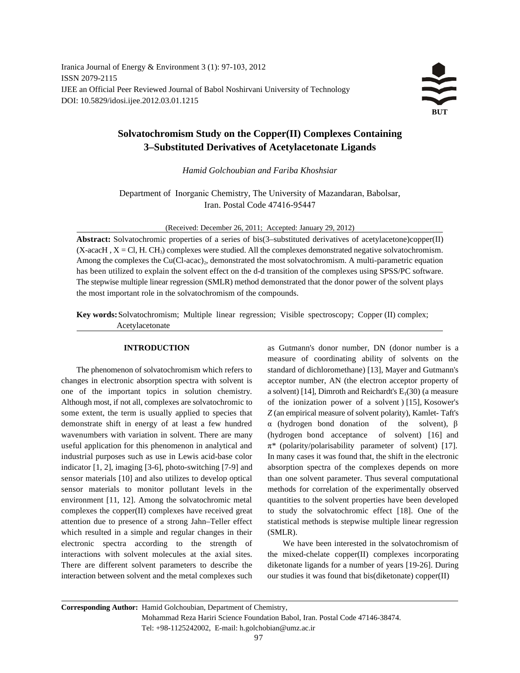Iranica Journal of Energy & Environment 3 (1): 97-103, 2012 ISSN 2079-2115 IJEE an Official Peer Reviewed Journal of Babol Noshirvani University of Technology DOI: 10.5829/idosi.ijee.2012.03.01.1215

# **Solvatochromism Study on the Copper(II) Complexes Containing 3–Substituted Derivatives of Acetylacetonate Ligands**

*Hamid Golchoubian and Fariba Khoshsiar* 

Department of Inorganic Chemistry, The University of Mazandaran, Babolsar, Iran. Postal Code 47416-95447

(Received: December 26, 2011; Accepted: January 29, 2012)

**Abstract:** Solvatochromic properties of a series of bis(3–substituted derivatives of acetylacetone)copper(II) (X-acacH ,  $X = Cl$ , H. CH<sub>3</sub>) complexes were studied. All the complexes demonstrated negative solvatochromism. Among the complexes the Cu(Cl-acac)<sub>2</sub>, demonstrated the most solvatochromism. A multi-parametric equation has been utilized to explain the solvent effect on the d-d transition of the complexes using SPSS/PC software. The stepwise multiple linear regression (SMLR) method demonstrated that the donor power of the solvent plays the most important role in the solvatochromism of the compounds.

**Key words:**Solvatochromism; Multiple linear regression; Visible spectroscopy; Copper (II) complex; Acetylacetonate

changes in electronic absorption spectra with solvent is acceptor number, AN (the electron acceptor property of one of the important topics in solution chemistry. a solvent) [14], Dimroth and Reichardt's  $E_T(30)$  (a measure Although most, if not all, complexes are solvatochromic to of the ionization power of a solvent ) [15], Kosower's some extent, the term is usually applied to species that *Z* (an empirical measure of solvent polarity), Kamlet-Taft's demonstrate shift in energy of at least a few hundred  $\alpha$  (hydrogen bond donation of the solvent), β wavenumbers with variation in solvent. There are many (hydrogen bond acceptance of solvent) [16] and useful application for this phenomenon in analytical and π*\** (polarity/polarisability parameter of solvent) [17]. industrial purposes such as use in Lewis acid-base color In many cases it was found that, the shift in the electronic indicator [1, 2], imaging [3-6], photo-switching [7-9] and absorption spectra of the complexes depends on more sensor materials [10] and also utilizes to develop optical than one solvent parameter. Thus several computational sensor materials to monitor pollutant levels in the methods for correlation of the experimentally observed environment [11, 12]. Among the solvatochromic metal quantities to the solvent properties have been developed complexes the copper(II) complexes have received great to study the solvatochromic effect [18]. One of the attention due to presence of a strong Jahn–Teller effect statistical methods is stepwise multiple linear regression which resulted in a simple and regular changes in their (SMLR). electronic spectra according to the strength of We have been interested in the solvatochromism of interactions with solvent molecules at the axial sites. the mixed-chelate copper(II) complexes incorporating There are different solvent parameters to describe the diketonate ligands for a number of years [19-26]. During interaction between solvent and the metal complexes such our studies it was found that bis(diketonate) copper(II)

**INTRODUCTION** as Gutmann's donor number, DN (donor number is a The phenomenon of solvatochromism which refers to standard of dichloromethane) [13], Mayer and Gutmann's measure of coordinating ability of solvents on the

**Corresponding Author:** Hamid Golchoubian, Department of Chemistry, Mohammad Reza Hariri Science Foundation Babol, Iran. Postal Code 47146-38474. Tel: +98-1125242002, E-mail: h.golchobian@umz.ac.ir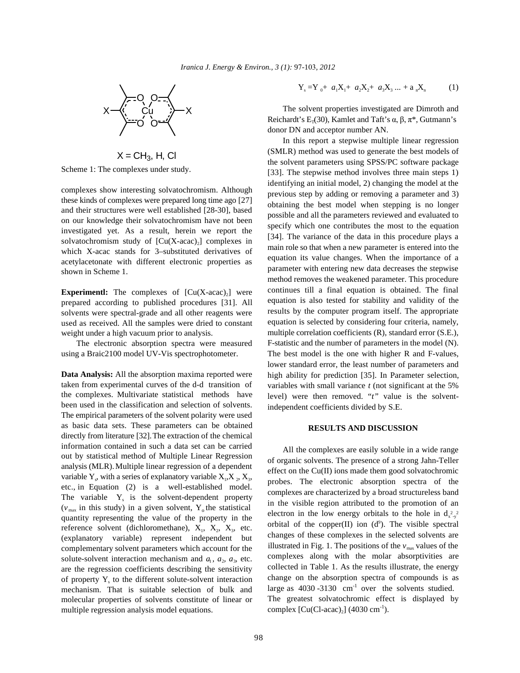

 $X = CH<sub>3</sub>$ , H, Cl

Scheme 1: The complexes under study.

complexes show interesting solvatochromism. Although these kinds of complexes were prepared long time ago [27] and their structures were well established [28-30], based on our knowledge their solvatochromism have not been investigated yet. As a result, herein we report the solvatochromism study of  $[Cu(X-acoc)]$  complexes in which X-acac stands for 3–substituted derivatives of acetylacetonate with different electronic properties as shown in Scheme 1.

**Experimentl:** The complexes of  $[Cu(X\textrm{-}acac)]$  were prepared according to published procedures [31]. All solvents were spectral-grade and all other reagents were used as received. All the samples were dried to constant weight under a high vacuum prior to analysis.

The electronic absorption spectra were measured using a Braic2100 model UV-Vis spectrophotometer.

**Data Analysis:** All the absorption maxima reported were taken from experimental curves of the d-d transition of the complexes. Multivariate statistical methods have been used in the classification and selection of solvents. The empirical parameters of the solvent polarity were used as basic data sets. These parameters can be obtained directly from literature [32].The extraction of the chemical information contained in such a data set can be carried out by statistical method of Multiple Linear Regression analysis (MLR). Multiple linear regression of a dependent variable  $Y_s$ , with a series of explanatory variable  $X_1, X_2, X_3, Y_4$ etc., in Equation (2) is a well-established model. The variable  $Y<sub>s</sub>$  is the solvent-dependent property  $(v_{\text{max}})$  in this study) in a given solvent, Y<sub>o</sub> the statistical quantity representing the value of the property in the reference solvent (dichloromethane),  $X_1$ ,  $X_2$ ,  $X_3$ , etc. (explanatory variable) represent independent but complementary solvent parameters which account for the solute-solvent interaction mechanism and  $a_1$ ,  $a_2$ ,  $a_3$ , etc. are the regression coefficients describing the sensitivity of property  $Y_s$  to the different solute-solvent interaction mechanism. That is suitable selection of bulk and molecular properties of solvents constitute of linear or multiple regression analysis model equations.

$$
Y_s = Y_0 + a_1 X_1 + a_2 X_2 + a_3 X_3 ... + a_n X_n \tag{1}
$$

The solvent properties investigated are Dimroth and Reichardt's  $E_r(30)$ , Kamlet and Taft's  $\alpha$ ,  $\beta$ ,  $\pi^*$ , Gutmann's donor DN and acceptor number AN.

In this report a stepwise multiple linear regression (SMLR) method was used to generate the best models of the solvent parameters using SPSS/PC software package [33]. The stepwise method involves three main steps 1) identifying an initial model, 2) changing the model at the previous step by adding or removing a parameter and 3) obtaining the best model when stepping is no longer possible and all the parameters reviewed and evaluated to specify which one contributes the most to the equation [34]. The variance of the data in this procedure plays a main role so that when a new parameter is entered into the equation its value changes. When the importance of a parameter with entering new data decreases the stepwise method removes the weakened parameter. This procedure continues till a final equation is obtained. The final equation is also tested for stability and validity of the results by the computer program itself. The appropriate equation is selected by considering four criteria, namely, multiple correlation coefficients (R), standard error (S.E.), F-statistic and the number of parameters in the model (N). The best model is the one with higher R and F-values, lower standard error, the least number of parameters and high ability for prediction [35]. In Parameter selection, variables with small variance *t* (not significant at the 5% level) were then removed. "*t"* value is the solventindependent coefficients divided by S.E.

## **RESULTS AND DISCUSSION**

All the complexes are easily soluble in a wide range of organic solvents. The presence of a strong Jahn-Teller effect on the Cu(II) ions made them good solvatochromic probes. The electronic absorption spectra of the complexes are characterized by a broad structureless band in the visible region attributed to the promotion of an electron in the low energy orbitals to the hole in  $d_{x-y}^2$ orbital of the copper(II) ion  $(d^9)$ . The visible spectral changes of these complexes in the selected solvents are illustrated in Fig. 1. The positions of the  $v_{\text{max}}$  values of the complexes along with the molar absorptivities are collected in Table 1. As the results illustrate, the energy change on the absorption spectra of compounds is as large as  $4030 - 3130$  cm<sup>-1</sup> over the solvents studied. The greatest solvatochromic effect is displayed by complex  $\text{[Cu(Cl-acac)}_2\text{]}$  (4030 cm<sup>-1</sup>).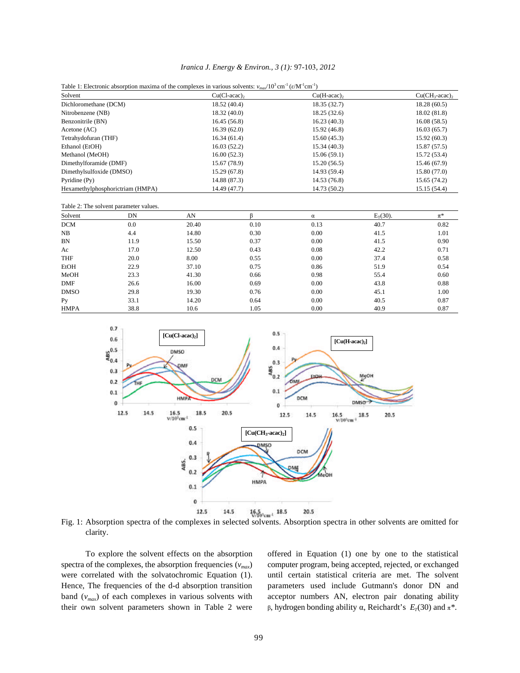|  |  |  | Iranica J. Energy & Environ., 3 (1): 97-103, 2012 |  |  |  |  |  |  |  |
|--|--|--|---------------------------------------------------|--|--|--|--|--|--|--|
|--|--|--|---------------------------------------------------|--|--|--|--|--|--|--|

| Table 1: Electronic absorption maxima of the complexes in various solvents: $v_{\text{max}}/10^3 \text{ cm}^{-1}$ ( $\varepsilon/\text{M}^{-1}\text{cm}^{-1}$ ) |  |  |
|-----------------------------------------------------------------------------------------------------------------------------------------------------------------|--|--|
|-----------------------------------------------------------------------------------------------------------------------------------------------------------------|--|--|

|                                  |                                        |       | Table 1: Electronic absorption maxima of the complexes in various solvents: $v_{max}/10^{\circ}$ cm $^{*}$ ( $\varepsilon/M$ $^{*}$ cm $^{*}$ ) |                       |             |                 |
|----------------------------------|----------------------------------------|-------|-------------------------------------------------------------------------------------------------------------------------------------------------|-----------------------|-------------|-----------------|
| Solvent                          |                                        |       | $Cu(Cl\text{-}acac)_2$                                                                                                                          | $Cu(H\text{-}acac)_2$ |             | $Cu(CH3-acac)2$ |
| Dichloromethane (DCM)            |                                        |       | 18.52 (40.4)                                                                                                                                    | 18.35 (32.7)          |             | 18.28(60.5)     |
| Nitrobenzene (NB)                |                                        |       | 18.32(40.0)                                                                                                                                     | 18.25(32.6)           |             | 18.02 (81.8)    |
| Benzonitrile (BN)                |                                        |       | 16.45(56.8)                                                                                                                                     | 16.23(40.3)           |             | 16.08(58.5)     |
| Acetone (AC)                     |                                        |       | 16.39(62.0)                                                                                                                                     | 15.92(46.8)           |             | 16.03(65.7)     |
| Tetrahydofuran (THF)             |                                        |       | 16.34(61.4)                                                                                                                                     | 15.60(45.3)           |             | 15.92(60.3)     |
| Ethanol (EtOH)                   |                                        |       | 16.03(52.2)                                                                                                                                     | 15.34(40.3)           |             | 15.87(57.5)     |
| Methanol (MeOH)                  |                                        |       | 16.00(52.3)                                                                                                                                     | 15.06(59.1)           |             | 15.72 (53.4)    |
| Dimethylforamide (DMF)           |                                        |       | 15.67 (78.9)                                                                                                                                    | 15.20(56.5)           |             | 15.46 (67.9)    |
| Dimethylsulfoxide (DMSO)         |                                        |       | 15.29(67.8)                                                                                                                                     | 14.93 (59.4)          |             | 15.80 (77.0)    |
| Pyridine (Py)                    |                                        |       | 14.88 (87.3)                                                                                                                                    | 14.53 (76.8)          |             | 15.65 (74.2)    |
| Hexamethylphosphorictriam (HMPA) |                                        |       | 14.49 (47.7)                                                                                                                                    |                       |             | 15.15(54.4)     |
|                                  | Table 2: The solvent parameter values. |       |                                                                                                                                                 |                       |             |                 |
| Solvent                          | DN                                     | AN    | ß                                                                                                                                               | $\alpha$              | $E_T(30)$ . | $\pi^*$         |
| <b>DCM</b>                       | 0.0                                    | 20.40 | 0.10                                                                                                                                            | 0.13                  | 40.7        | 0.82            |
| NB                               | 4.4                                    | 14.80 | 0.30                                                                                                                                            | 0.00                  | 41.5        | 1.01            |
| <b>BN</b>                        | 11.9                                   | 15.50 | 0.37                                                                                                                                            | 0.00                  | 41.5        | 0.90            |
| Ac                               | 17.0                                   | 12.50 | 0.43                                                                                                                                            | 0.08                  | 42.2        | 0.71            |
| THF                              | 20.0                                   | 8.00  | 0.55                                                                                                                                            | 0.00                  | 37.4        | 0.58            |
| EtOH                             | 22.9                                   | 37.10 | 0.75                                                                                                                                            | 0.86                  | 51.9        | 0.54            |
| MeOH                             | 23.3                                   | 41.30 | 0.66                                                                                                                                            | 0.98                  | 55.4        | 0.60            |
| <b>DMF</b>                       | 26.6                                   | 16.00 | 0.69                                                                                                                                            | 0.00                  | 43.8        | 0.88            |
| <b>DMSO</b>                      | 29.8                                   | 19.30 | 0.76                                                                                                                                            | 0.00                  | 45.1        | 1.00            |



Py 33.1 14.20 0.64 0.00 40.5 0.87 HMPA 38.8 10.6 1.05 0.00 40.9 0.87

Fig. 1: Absorption spectra of the complexes in selected solvents. Absorption spectra in other solvents are omitted for clarity.

spectra of the complexes, the absorption frequencies  $(v_{max})$  computer program, being accepted, rejected, or exchanged were correlated with the solvatochromic Equation (1). until certain statistical criteria are met. The solvent Hence, The frequencies of the d-d absorption transition parameters used include Gutmann's donor DN and band  $(v_{max})$  of each complexes in various solvents with acceptor numbers AN, electron pair donating ability

To explore the solvent effects on the absorption offered in Equation (1) one by one to the statistical their own solvent parameters shown in Table 2 were β, hydrogen bonding ability  $\alpha$ , Reichardt's  $E_T(30)$  and  $\pi^*$ .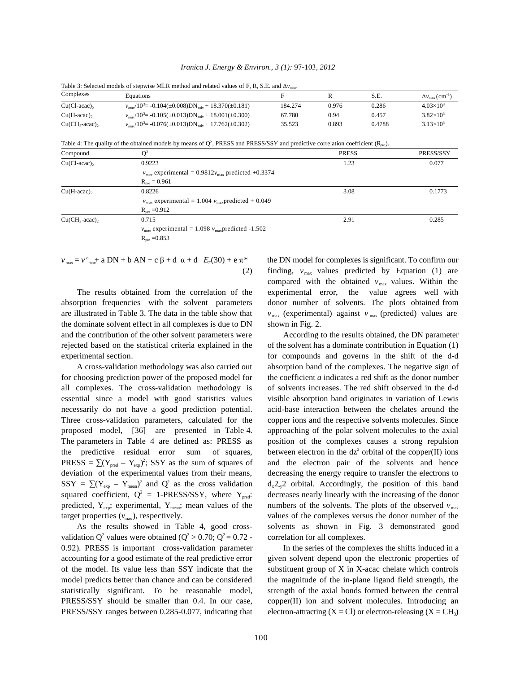|  |  |  | Iranica J. Energy & Environ., 3 (1): 97-103, 2012 |  |  |  |  |  |  |  |
|--|--|--|---------------------------------------------------|--|--|--|--|--|--|--|
|--|--|--|---------------------------------------------------|--|--|--|--|--|--|--|

|                       | Table 3: Selected models of stepwise MLR method and related values of F, R, S.E. and $\Delta v_{max}$ |         |       |        |                                         |
|-----------------------|-------------------------------------------------------------------------------------------------------|---------|-------|--------|-----------------------------------------|
| Complexes             | Equations                                                                                             | E       |       | S.E.   | $\Delta v_{\rm max}$ (cm <sup>-1)</sup> |
| $Cu(Cl$ -acac),       | $v_{max}/10^3$ = -0.104(±0.008)DN <sub>solv</sub> + 18.370(±0.181)                                    | 184.274 | 0.976 | 0.286  | $4.03\times10^{3}$                      |
| $Cu(H\text{-}acac)$ , | $v_{\text{max}}/10^3$ = -0.105(±0.013)DN solv + 18.001(±0.300)                                        | 67.780  | 0.94  | 0.457  | $3.82\times10^{3}$                      |
| $Cu(CH_3$ -acac),     | $v_{\text{max}}/10^3$ = -0.076( $\pm$ 0.013)DN <sub>solv</sub> + 17.762( $\pm$ 0.302)                 | 35.523  | 0.893 | 0.4788 | $3.13\times10^{3}$                      |

Table 4: The quality of the obtained models by means of  $O<sup>2</sup>$  PRESS and PRESS/SSY and predictive correlation coefficient (R ).

| Compound                 | $\mathsf{Q}^2$                                                                                   | <b>PRESS</b> | PRESS/SSY |
|--------------------------|--------------------------------------------------------------------------------------------------|--------------|-----------|
| $Cu(Cl\text{-}acac)$ ,   | 0.9223                                                                                           | 1.23         | 0.077     |
|                          | $v_{max}$ experimental = 0.9812 $v_{max}$ predicted +0.3374<br>$R_{\text{pre}} = 0.961$          |              |           |
| $Cu(H\text{-}acac)$ ,    | 0.8226<br>$v_{max}$ experimental = 1.004 $v_{max}$ predicted + 0.049<br>$R_{\text{pre}} = 0.912$ | 3.08         | 0.1773    |
| $Cu(CH_3\text{-}acac)$ , | 0.715<br>$v_{max}$ experimental = 1.098 $v_{max}$ predicted -1.502<br>$R_{pre} = 0.853$          | 2.91         | 0.285     |

 $v_{\text{max}} = v_{\text{max}}^{\circ}$  a DN + b AN + c  $\beta$  + d  $\alpha$  + d  $E_r(30)$  + e  $\pi^*$ 

absorption frequencies with the solvent parameters donor number of solvents. The plots obtained from are illustrated in Table 3. The data in the table show that  $v_{\text{max}}$  (experimental) against  $v_{\text{max}}$  (predicted) values are the dominate solvent effect in all complexes is due to  $DN$  shown in Fig. 2. and the contribution of the other solvent parameters were According to the results obtained, the DN parameter

for choosing prediction power of the proposed model for the coefficient *a* indicates a red shift as the donor number all complexes. The cross-validation methodology is of solvents increases. The red shift observed in the d-d essential since a model with good statistics values visible absorption band originates in variation of Lewis necessarily do not have a good prediction potential. acid-base interaction between the chelates around the Three cross-validation parameters, calculated for the copper ions and the respective solvents molecules. Since proposed model, [36] are presented in Table 4. approaching of the polar solvent molecules to the axial The parameters in Table 4 are defined as: PRESS as position of the complexes causes a strong repulsion PRESS =  $\sum (Y_{\text{pred}} - Y_{\text{exp}})^2$ ; SSY as the sum of squares of and the electron pair of the solvents and hence deviation of the experimental values from their means, decreasing the energy require to transfer the electrons to SSY =  $\sum (Y_{\text{exp}} - Y_{\text{mean}})^2$  and Q<sup>2</sup> as the cross validation squared coefficient,  $Q^2 = 1$ -PRESS/SSY, where Y<sub>pred</sub>: predicted,  $Y_{\text{exp}}$ ; experimental,  $Y_{\text{mean}}$ ; mean values of the

validation Q<sup>2</sup> values were obtained ( $Q^2 > 0.70$ ;  $Q^2 = 0.72$  - correlation for all complexes. 0.92). PRESS is important cross-validation parameter In the series of the complexes the shifts induced in a of the model. Its value less than SSY indicate that the substituent group of X in X-acac chelate which controls PRESS/SSY ranges between 0.285-0.077, indicating that electron-attracting  $(X = Cl)$  or electron-releasing  $(X = CH_3)$ 

*v* the DN model for complexes is significant. To confirm our (2) finding,  $v_{\text{max}}$  values predicted by Equation (1) are The results obtained from the correlation of the experimental error, the value agrees well with compared with the obtained  $v_{\text{max}}$  values. Within the

rejected based on the statistical criteria explained in the of the solvent has a dominate contribution in Equation (1) experimental section. for compounds and governs in the shift of the d-d A cross-validation methodology was also carried out absorption band of the complexes. The negative sign of the predictive residual error sum of squares, between electron in the  $dz^2$  orbital of the copper(II) ions decreases nearly linearly with the increasing of the donor target properties ( $v_{\text{max}}$ ), respectively. values of the complexes versus the donor number of the As the results showed in Table 4, good cross- solvents as shown in Fig. 3 demonstrated good  $d_{x}2_{y}2$  orbital. Accordingly, the position of this band numbers of the solvents. The plots of the observed  $v_{\text{max}}$ 

accounting for a good estimate of the real predictive error given solvent depend upon the electronic properties of model predicts better than chance and can be considered the magnitude of the in-plane ligand field strength, the statistically significant. To be reasonable model, strength of the axial bonds formed between the central PRESS/SSY should be smaller than 0.4. In our case, copper(II) ion and solvent molecules. Introducing an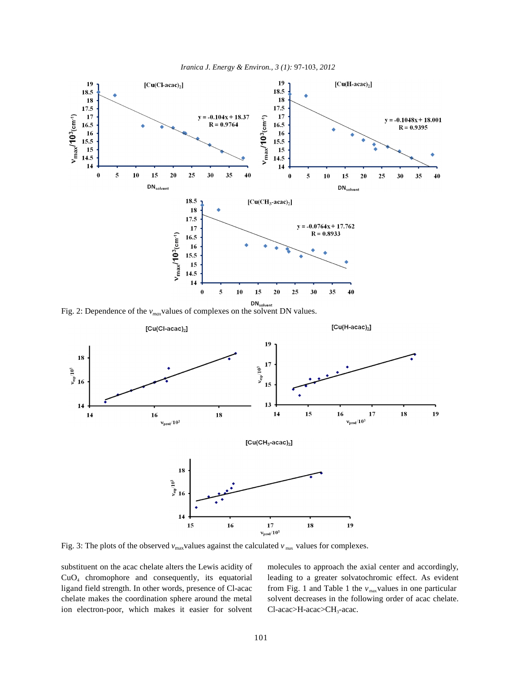





Fig. 3: The plots of the observed  $v_{\text{max}}$  values against the calculated  $v_{\text{max}}$  values for complexes.

substituent on the acac chelate alters the Lewis acidity of molecules to approach the axial center and accordingly, ligand field strength. In other words, presence of Cl-acac ion electron-poor, which makes it easier for solvent

CuO<sub>4</sub> chromophore and consequently, its equatorial leading to a greater solvatochromic effect. As evident chelate makes the coordination sphere around the metal solvent decreases in the following order of acac chelate. from Fig. 1 and Table 1 the  $v_{\text{max}}$  values in one particular Cl-acac>H-acac>CH<sub>3</sub>-acac.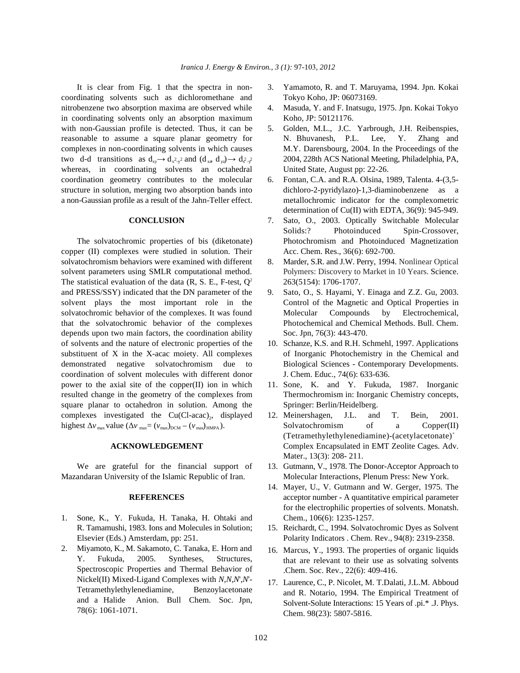It is clear from Fig. 1 that the spectra in non- 3. Yamamoto, R. and T. Maruyama, 1994. Jpn. Kokai coordinating solvents such as dichloromethane and Tokyo Koho, JP: 06073169. nitrobenzene two absorption maxima are observed while 4. Masuda, Y. and F. Inatsugu, 1975. Jpn. Kokai Tokyo in coordinating solvents only an absorption maximum Koho, JP: 50121176. with non-Gaussian profile is detected. Thus, it can be 5. Golden, M.L., J.C. Yarbrough, J.H. Reibenspies, reasonable to assume a square planar geometry for N. Bhuvanesh, P.L. Lee, Y. Zhang and complexes in non-coordinating solvents in which causes M.Y. Darensbourg, 2004. In the Proceedings of the two d-d transitions as  $d_{xy} \rightarrow d_{x^2-y^2}$  and  $(d_{xz} d_{yz}) \rightarrow d_{x^2-y^2}$  2004, 228th ACS National Meeting, Philadelphia, PA, whereas, in coordinating solvents an octahedral United State, August pp: 22-26. coordination geometry contributes to the molecular 6. Fontan, C.A. and R.A. Olsina, 1989, Talenta. 4-(3,5 structure in solution, merging two absorption bands into dichloro-2-pyridylazo)-1,3-diaminobenzene as a a non-Gaussian profile as a result of the Jahn-Teller effect. metallochromic indicator for the complexometric

copper (II) complexes were studied in solution. Their Acc. Chem. Res., 36(6): 692-700. solvatochromism behaviors were examined with different 8. Marder, S.R. and J.W. Perry, 1994. Nonlinear Optical solvent parameters using SMLR computational method. Polymers: Discovery to Market in 10 Years. Science. The statistical evaluation of the data  $(R, S, E, F-test, Q^2$  263(5154): 1706-1707. and PRESS/SSY) indicated that the DN parameter of the 9. Sato, O., S. Hayami, Y. Einaga and Z.Z. Gu, 2003. solvent plays the most important role in the Control of the Magnetic and Optical Properties in solvatochromic behavior of the complexes. It was found Molecular Compounds by Electrochemical, that the solvatochromic behavior of the complexes Photochemical and Chemical Methods. Bull. Chem. depends upon two main factors, the coordination ability Soc. Jpn, 76(3): 443-470. of solvents and the nature of electronic properties of the 10. Schanze, K.S. and R.H. Schmehl, 1997. Applications substituent of X in the X-acac moiety. All complexes of Inorganic Photochemistry in the Chemical and demonstrated negative solvatochromism due to Biological Sciences - Contemporary Developments. coordination of solvent molecules with different donor J. Chem. Educ., 74(6): 633-636. power to the axial site of the copper(II) ion in which 11. Sone, K. and Y. Fukuda, 1987. Inorganic resulted change in the geometry of the complexes from Thermochromism in: Inorganic Chemistry concepts, square planar to octahedron in solution. Among the Springer: Berlin/Heidelberg. complexes investigated the Cu(Cl-acac)<sub>2</sub>, displayed 12. Meinershagen, J.L. and T. Bein, 2001.

Mazandaran University of the Islamic Republic of Iran. Molecular Interactions, Plenum Press: New York.

- 1. Sone, K., Y. Fukuda, H. Tanaka, H. Ohtaki and Chem., 106(6): 1235-1257. R. Tamamushi, 1983. Ions and Molecules in Solution; 15. Reichardt, C., 1994. Solvatochromic Dyes as Solvent
- 2. Miyamoto, K., M. Sakamoto, C. Tanaka, E. Horn and Y. Fukuda, 2005. Syntheses, Structures, Spectroscopic Properties and Thermal Behavior of Nickel(II) Mixed-Ligand Complexes with *N*,*N*,*N*',*N*'- Tetramethylethylenediamine, Benzoylacetonate and a Halide Anion. Bull Chem. Soc. Jpn, 78(6): 1061-1071.
- 
- 
- 
- determination of Cu(II) with EDTA, 36(9): 945-949.
- **CONCLUSION** 7. Sato, O., 2003. Optically Switchable Molecular The solvatochromic properties of bis (diketonate) Photochromism and Photoinduced Magnetization Solids:? Photoinduced Spin-Crossover,
	-
	-
	-
	-
- highest  $\Delta v_{\text{max}}$  value  $(\Delta v_{\text{max}} (v_{\text{max}})_{\text{EOM}} (v_{\text{max}})_{\text{HMPA}})$ . Solvatochromism of a Copper(II) **ACKNOWLEDGEMENT** Complex Encapsulated in EMT Zeolite Cages. Adv. (Tetramethylethylenediamine)-(acetylacetonate)+ Mater., 13(3): 208- 211.
	- We are grateful for the financial support of 13. Gutmann, V., 1978. The Donor-Acceptor Approach to
		- **REFERENCES** acceptor number A quantitative empirical parameter 14. Mayer, U., V. Gutmann and W. Gerger, 1975. The for the electrophilic properties of solvents. Monatsh.
	- Elsevier (Eds.) Amsterdam, pp: 251. Polarity Indicators . Chem. Rev., 94(8): 2319-2358.
		- 16. Marcus, Y., 1993. The properties of organic liquids that are relevant to their use as solvating solvents .Chem. Soc. Rev., 22(6): 409-416.
		- 17. Laurence, C., P. Nicolet, M. T.Dalati, J.L.M. Abboud and R. Notario, 1994. The Empirical Treatment of Solvent-Solute Interactions: 15 Years of .pi.\* .J. Phys. Chem. 98(23): 5807-5816.